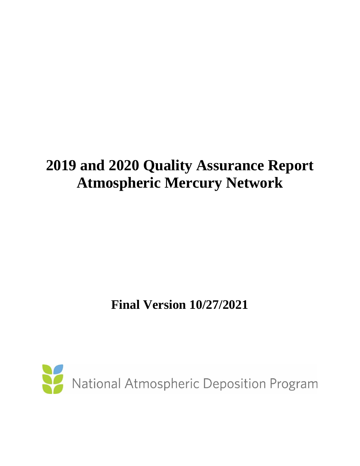# **2019 and 2020 Quality Assurance Report Atmospheric Mercury Network**

**Final Version 10/27/2021** 

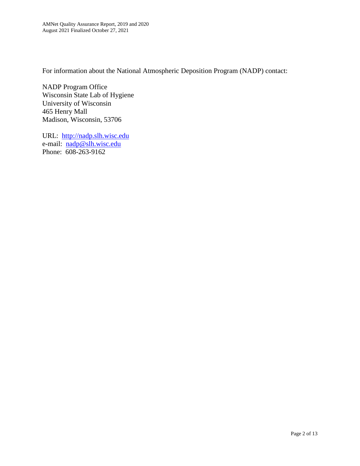For information about the National Atmospheric Deposition Program (NADP) contact:

NADP Program Office Wisconsin State Lab of Hygiene University of Wisconsin 465 Henry Mall Madison, Wisconsin, 53706

URL: [http://nadp.slh.wisc.edu](http://nadp.slh.wisc.edu/) e-mail: [nadp@slh.wisc.edu](mailto:nadp@slh.wisc.edu) Phone: 608-263-9162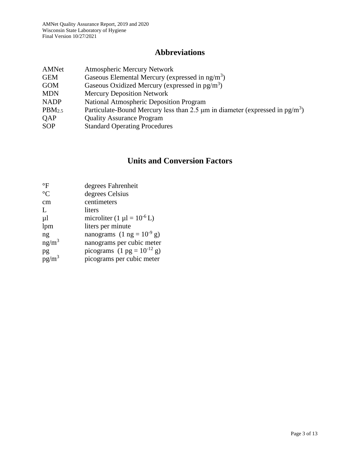# **Abbreviations**

| AMNet              | <b>Atmospheric Mercury Network</b>                                                            |
|--------------------|-----------------------------------------------------------------------------------------------|
| <b>GEM</b>         | Gaseous Elemental Mercury (expressed in $ng/m3$ )                                             |
| <b>GOM</b>         | Gaseous Oxidized Mercury (expressed in $pg/m^3$ )                                             |
| <b>MDN</b>         | <b>Mercury Deposition Network</b>                                                             |
| <b>NADP</b>        | <b>National Atmospheric Deposition Program</b>                                                |
| PBM <sub>2.5</sub> | Particulate-Bound Mercury less than 2.5 $\mu$ m in diameter (expressed in pg/m <sup>3</sup> ) |
| <b>OAP</b>         | <b>Quality Assurance Program</b>                                                              |
| <b>SOP</b>         | <b>Standard Operating Procedures</b>                                                          |
|                    |                                                                                               |

# **Units and Conversion Factors**

| $\mathrm{^{\circ}F}$ | degrees Fahrenheit                              |
|----------------------|-------------------------------------------------|
| $\rm ^{\circ}C$      | degrees Celsius                                 |
| cm                   | centimeters                                     |
| L                    | liters                                          |
| $\mu$                | microliter $(1 \mu l = 10^{-6} L)$              |
| lpm                  | liters per minute                               |
| ng                   | nanograms $(1 \text{ ng} = 10^{-9} \text{ g})$  |
| $ng/m^3$             | nanograms per cubic meter                       |
| pg                   | picograms $(1 \text{ pg} = 10^{-12} \text{ g})$ |
| $pg/m^3$             | picograms per cubic meter                       |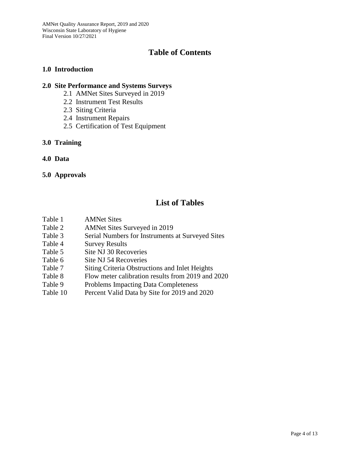# **Table of Contents**

#### **1.0 Introduction**

#### **2.0 Site Performance and Systems Surveys**

- 2.1 AMNet Sites Surveyed in 2019
- 2.2 Instrument Test Results
- 2.3 Siting Criteria
- 2.4 Instrument Repairs
- 2.5 Certification of Test Equipment

#### **3.0 Training**

**4.0 Data**

#### **5.0 Approvals**

## **List of Tables**

- Table 1 AMNet Sites
- Table 2 AMNet Sites Surveyed in 2019
- Table 3 Serial Numbers for Instruments at Surveyed Sites
- Table 4 Survey Results
- Table 5 Site NJ 30 Recoveries
- Table 6 Site NJ 54 Recoveries
- Table 7 Siting Criteria Obstructions and Inlet Heights
- Table 8 Flow meter calibration results from 2019 and 2020
- Table 9 Problems Impacting Data Completeness
- Table 10 Percent Valid Data by Site for 2019 and 2020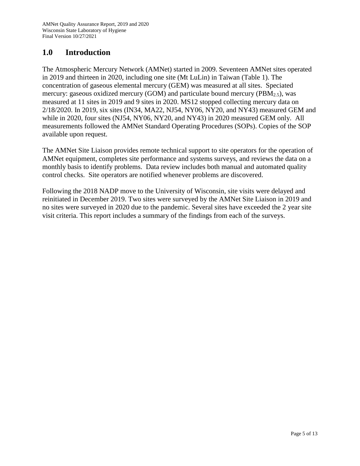# **1.0 Introduction**

The Atmospheric Mercury Network (AMNet) started in 2009. Seventeen AMNet sites operated in 2019 and thirteen in 2020, including one site (Mt LuLin) in Taiwan (Table 1). The concentration of gaseous elemental mercury (GEM) was measured at all sites. Speciated mercury: gaseous oxidized mercury (GOM) and particulate bound mercury (PBM2.5), was measured at 11 sites in 2019 and 9 sites in 2020. MS12 stopped collecting mercury data on 2/18/2020. In 2019, six sites (IN34, MA22, NJ54, NY06, NY20, and NY43) measured GEM and while in 2020, four sites (NJ54, NY06, NY20, and NY43) in 2020 measured GEM only. All measurements followed the AMNet Standard Operating Procedures (SOPs). Copies of the SOP available upon request.

The AMNet Site Liaison provides remote technical support to site operators for the operation of AMNet equipment, completes site performance and systems surveys, and reviews the data on a monthly basis to identify problems. Data review includes both manual and automated quality control checks. Site operators are notified whenever problems are discovered.

Following the 2018 NADP move to the University of Wisconsin, site visits were delayed and reinitiated in December 2019. Two sites were surveyed by the AMNet Site Liaison in 2019 and no sites were surveyed in 2020 due to the pandemic. Several sites have exceeded the 2 year site visit criteria. This report includes a summary of the findings from each of the surveys.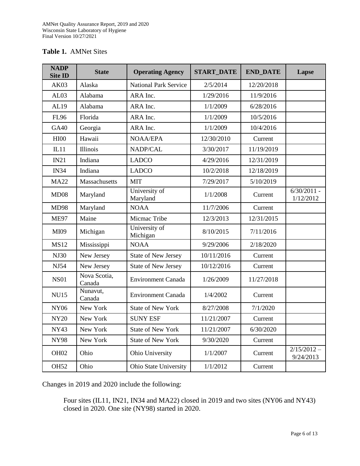| <b>NADP</b><br><b>Site ID</b> | <b>State</b>           | <b>Operating Agency</b>      | <b>START_DATE</b> | <b>END_DATE</b> | Lapse                      |
|-------------------------------|------------------------|------------------------------|-------------------|-----------------|----------------------------|
| AK03                          | Alaska                 | <b>National Park Service</b> | 2/5/2014          | 12/20/2018      |                            |
| AL03                          | Alabama                | ARA Inc.                     | 1/29/2016         | 11/9/2016       |                            |
| AL19                          | Alabama                | ARA Inc.                     | 1/1/2009          | 6/28/2016       |                            |
| <b>FL96</b>                   | Florida                | ARA Inc.                     | 1/1/2009          | 10/5/2016       |                            |
| <b>GA40</b>                   | Georgia                | ARA Inc.                     | 1/1/2009          | 10/4/2016       |                            |
| HIOO                          | Hawaii                 | <b>NOAA/EPA</b>              | 12/30/2010        | Current         |                            |
| IL11                          | <b>Illinois</b>        | NADP/CAL                     | 3/30/2017         | 11/19/2019      |                            |
| IN21                          | Indiana                | <b>LADCO</b>                 | 4/29/2016         | 12/31/2019      |                            |
| <b>IN34</b>                   | Indiana                | <b>LADCO</b>                 | 10/2/2018         | 12/18/2019      |                            |
| <b>MA22</b>                   | Massachusetts          | <b>MIT</b>                   | 7/29/2017         | 5/10/2019       |                            |
| MD08                          | Maryland               | University of<br>Maryland    | 1/1/2008          | Current         | $6/30/2011$ -<br>1/12/2012 |
| <b>MD98</b>                   | Maryland               | <b>NOAA</b>                  | 11/7/2006         | Current         |                            |
| <b>ME97</b>                   | Maine                  | Micmac Tribe                 | 12/3/2013         | 12/31/2015      |                            |
| MI09                          | Michigan               | University of<br>Michigan    | 8/10/2015         | 7/11/2016       |                            |
| <b>MS12</b>                   | Mississippi            | <b>NOAA</b>                  | 9/29/2006         | 2/18/2020       |                            |
| <b>NJ30</b>                   | New Jersey             | <b>State of New Jersey</b>   | 10/11/2016        | Current         |                            |
| NJ54                          | New Jersey             | <b>State of New Jersey</b>   | 10/12/2016        | Current         |                            |
| <b>NS01</b>                   | Nova Scotia,<br>Canada | <b>Environment Canada</b>    | 1/26/2009         | 11/27/2018      |                            |
| <b>NU15</b>                   | Nunavut,<br>Canada     | <b>Environment Canada</b>    | 1/4/2002          | Current         |                            |
| <b>NY06</b>                   | New York               | <b>State of New York</b>     | 8/27/2008         | 7/1/2020        |                            |
| <b>NY20</b>                   | New York               | <b>SUNY ESF</b>              | 11/21/2007        | Current         |                            |
| NY43                          | New York               | <b>State of New York</b>     | 11/21/2007        | 6/30/2020       |                            |
| <b>NY98</b>                   | New York               | <b>State of New York</b>     | 9/30/2020         | Current         |                            |
| OH <sub>02</sub>              | Ohio                   | Ohio University              | 1/1/2007          | Current         | $2/15/2012 -$<br>9/24/2013 |
| <b>OH52</b>                   | Ohio                   | Ohio State University        | 1/1/2012          | Current         |                            |

Changes in 2019 and 2020 include the following:

Four sites (IL11, IN21, IN34 and MA22) closed in 2019 and two sites (NY06 and NY43) closed in 2020. One site (NY98) started in 2020.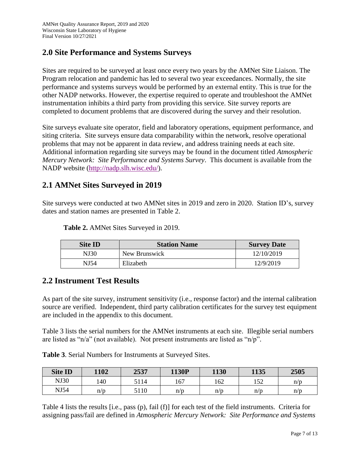## **2.0 Site Performance and Systems Surveys**

Sites are required to be surveyed at least once every two years by the AMNet Site Liaison. The Program relocation and pandemic has led to several two year exceedances. Normally, the site performance and systems surveys would be performed by an external entity. This is true for the other NADP networks. However, the expertise required to operate and troubleshoot the AMNet instrumentation inhibits a third party from providing this service. Site survey reports are completed to document problems that are discovered during the survey and their resolution.

Site surveys evaluate site operator, field and laboratory operations, equipment performance, and siting criteria. Site surveys ensure data comparability within the network, resolve operational problems that may not be apparent in data review, and address training needs at each site. Additional information regarding site surveys may be found in the document titled *Atmospheric Mercury Network: Site Performance and Systems Survey*. This document is available from the NADP website [\(http://nadp.slh.wisc.edu/\)](http://nadp.slh.wisc.edu/).

## **2.1 AMNet Sites Surveyed in 2019**

Site surveys were conducted at two AMNet sites in 2019 and zero in 2020. Station ID's, survey dates and station names are presented in Table 2.

| <b>Site ID</b> | <b>Station Name</b> | <b>Survey Date</b> |
|----------------|---------------------|--------------------|
| NJ30           | New Brunswick       | 12/10/2019         |
| NJ54           | Elizabeth           | 12/9/2019          |

**Table 2.** AMNet Sites Surveyed in 2019.

## **2.2 Instrument Test Results**

As part of the site survey, instrument sensitivity (i.e., response factor) and the internal calibration source are verified. Independent, third party calibration certificates for the survey test equipment are included in the appendix to this document.

Table 3 lists the serial numbers for the AMNet instruments at each site. Illegible serial numbers are listed as "n/a" (not available). Not present instruments are listed as "n/p".

**Table 3**. Serial Numbers for Instruments at Surveyed Sites.

| <b>Site ID</b> | 1102 | 2537 | 1130P | 1130 | 1135         | 2505 |
|----------------|------|------|-------|------|--------------|------|
| <b>NJ30</b>    | 140  | 5114 | 167   | 162  | 152<br>1 J 4 | n/p  |
| NJ54           | n/p  | 5110 | n/p   | n/p  | n/p          | n/p  |

Table 4 lists the results [i.e., pass (p), fail (f)] for each test of the field instruments. Criteria for assigning pass/fail are defined in *Atmospheric Mercury Network: Site Performance and Systems*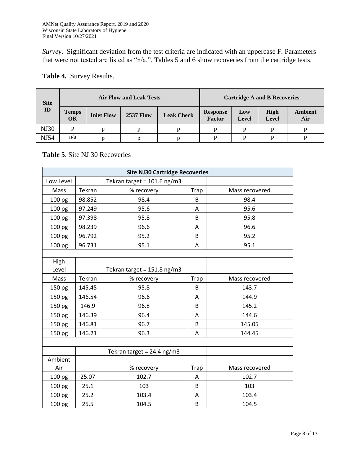*Survey*. Significant deviation from the test criteria are indicated with an uppercase F. Parameters that were not tested are listed as "n/a.". Tables 5 and 6 show recoveries from the cartridge tests.

| <b>Site</b> |                    | <b>Air Flow and Leak Tests</b> |                  |                   | <b>Cartridge A and B Recoveries</b> |              |               |                       |
|-------------|--------------------|--------------------------------|------------------|-------------------|-------------------------------------|--------------|---------------|-----------------------|
| ID          | <b>Temps</b><br>OK | <b>Inlet Flow</b>              | <b>2537 Flow</b> | <b>Leak Check</b> | <b>Response</b><br>Factor           | Low<br>Level | High<br>Level | <b>Ambient</b><br>Air |
| <b>NJ30</b> |                    |                                | n                |                   |                                     |              |               |                       |
| NJ54        | n/a                |                                | D                |                   |                                     |              |               |                       |

#### **Table 4.** Survey Results.

#### **Table 5**. Site NJ 30 Recoveries

|                   | <b>Site NJ30 Cartridge Recoveries</b> |                               |      |                |  |  |  |
|-------------------|---------------------------------------|-------------------------------|------|----------------|--|--|--|
| Low Level         |                                       | Tekran target = $101.6$ ng/m3 |      |                |  |  |  |
| Mass              | Tekran                                | % recovery                    | Trap | Mass recovered |  |  |  |
| 100 pg            | 98.852                                | 98.4                          | B    | 98.4           |  |  |  |
| 100 <sub>pg</sub> | 97.249                                | 95.6                          | Α    | 95.6           |  |  |  |
| 100 pg            | 97.398                                | 95.8                          | B    | 95.8           |  |  |  |
| 100 pg            | 98.239                                | 96.6                          | Α    | 96.6           |  |  |  |
| 100 pg            | 96.792                                | 95.2                          | B    | 95.2           |  |  |  |
| 100 pg            | 96.731                                | 95.1                          | A    | 95.1           |  |  |  |
|                   |                                       |                               |      |                |  |  |  |
| High              |                                       |                               |      |                |  |  |  |
| Level             |                                       | Tekran target = 151.8 ng/m3   |      |                |  |  |  |
| Mass              | Tekran                                | % recovery                    | Trap | Mass recovered |  |  |  |
| 150 pg            | 145.45                                | 95.8                          | B    | 143.7          |  |  |  |
| 150 pg            | 146.54                                | 96.6                          | A    | 144.9          |  |  |  |
| 150 pg            | 146.9                                 | 96.8                          | B    | 145.2          |  |  |  |
| 150 pg            | 146.39                                | 96.4                          | Α    | 144.6          |  |  |  |
| 150 pg            | 146.81                                | 96.7                          | B    | 145.05         |  |  |  |
| 150 pg            | 146.21                                | 96.3                          | A    | 144.45         |  |  |  |
|                   |                                       |                               |      |                |  |  |  |
|                   |                                       | Tekran target = $24.4$ ng/m3  |      |                |  |  |  |
| Ambient           |                                       |                               |      |                |  |  |  |
| Air               |                                       | % recovery                    | Trap | Mass recovered |  |  |  |
| 100 pg            | 25.07                                 | 102.7                         | A    | 102.7          |  |  |  |
| 100 pg            | 25.1                                  | 103                           | B    | 103            |  |  |  |
| 100 pg            | 25.2                                  | 103.4                         | A    | 103.4          |  |  |  |
| 100 pg            | 25.5                                  | 104.5                         | B    | 104.5          |  |  |  |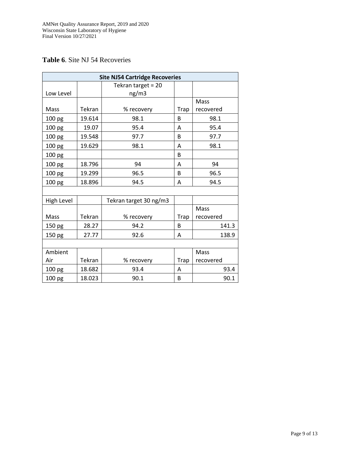#### **Table 6**. Site NJ 54 Recoveries

|                   | <b>Site NJ54 Cartridge Recoveries</b> |                             |             |           |  |  |  |  |
|-------------------|---------------------------------------|-----------------------------|-------------|-----------|--|--|--|--|
| Low Level         |                                       | Tekran target = 20<br>ng/m3 |             |           |  |  |  |  |
|                   |                                       |                             |             | Mass      |  |  |  |  |
| Mass              | Tekran                                | % recovery                  | Trap        | recovered |  |  |  |  |
| 100 pg            | 19.614                                | 98.1                        | B           | 98.1      |  |  |  |  |
| 100 pg            | 19.07                                 | 95.4                        | A           | 95.4      |  |  |  |  |
| 100 pg            | 19.548                                | 97.7                        | B           | 97.7      |  |  |  |  |
| 100 pg            | 19.629                                | 98.1                        | Α           | 98.1      |  |  |  |  |
| 100 pg            |                                       |                             | B           |           |  |  |  |  |
| 100 pg            | 18.796                                | 94                          | A           | 94        |  |  |  |  |
| 100 pg            | 19.299                                | 96.5                        | B           | 96.5      |  |  |  |  |
| 100 pg            | 18.896                                | 94.5                        | A           | 94.5      |  |  |  |  |
|                   |                                       |                             |             |           |  |  |  |  |
| <b>High Level</b> |                                       | Tekran target 30 ng/m3      |             |           |  |  |  |  |
|                   |                                       |                             |             | Mass      |  |  |  |  |
| Mass              | Tekran                                | % recovery                  | Trap        | recovered |  |  |  |  |
| 150 pg            | 28.27                                 | 94.2                        | B           | 141.3     |  |  |  |  |
| 150 pg            | 27.77                                 | 92.6                        | A           | 138.9     |  |  |  |  |
|                   |                                       |                             |             |           |  |  |  |  |
| Ambient           |                                       |                             |             | Mass      |  |  |  |  |
| Air               | Tekran                                | % recovery                  | <b>Trap</b> | recovered |  |  |  |  |
| 100 pg            | 18.682                                | 93.4                        | A           | 93.4      |  |  |  |  |
| 100 pg            | 18.023                                | 90.1                        | B           | 90.1      |  |  |  |  |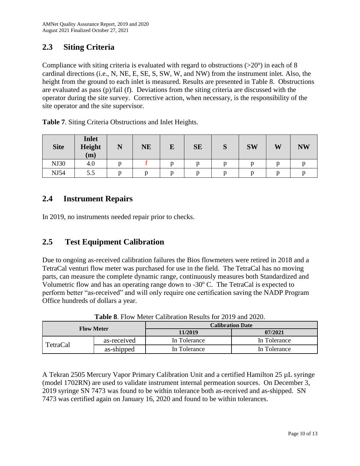# **2.3 Siting Criteria**

Compliance with siting criteria is evaluated with regard to obstructions  $(>20^{\circ})$  in each of 8 cardinal directions (i.e., N, NE, E, SE, S, SW, W, and NW) from the instrument inlet. Also, the height from the ground to each inlet is measured. Results are presented in Table 8. Obstructions are evaluated as pass (p)/fail (f). Deviations from the siting criteria are discussed with the operator during the site survey. Corrective action, when necessary, is the responsibility of the site operator and the site supervisor.

**Table 7**. Siting Criteria Obstructions and Inlet Heights.

| <b>Site</b> | <b>Inlet</b><br><b>Height</b><br>(m) | N | <b>NE</b> | E | <b>SE</b> | $\mathbf{\Omega}$<br>p | <b>SW</b> | W | <b>NW</b> |
|-------------|--------------------------------------|---|-----------|---|-----------|------------------------|-----------|---|-----------|
| <b>NJ30</b> | 4.0                                  |   |           |   |           |                        |           |   |           |
| <b>NJ54</b> | 5.5                                  |   |           |   |           |                        |           |   |           |

## **2.4 Instrument Repairs**

In 2019, no instruments needed repair prior to checks.

## **2.5 Test Equipment Calibration**

Due to ongoing as-received calibration failures the Bios flowmeters were retired in 2018 and a TetraCal venturi flow meter was purchased for use in the field. The TetraCal has no moving parts, can measure the complete dynamic range, continuously measures both Standardized and Volumetric flow and has an operating range down to  $-30^{\circ}$  C. The TetraCal is expected to perform better "as-received" and will only require one certification saving the NADP Program Office hundreds of dollars a year.

| <b>Flow Meter</b> |             | <b>Calibration Date</b> |              |  |  |  |
|-------------------|-------------|-------------------------|--------------|--|--|--|
|                   |             | 11/2019                 | 07/2021      |  |  |  |
| TetraCal          | as-received | In Tolerance            | In Tolerance |  |  |  |
|                   | as-shipped  | In Tolerance            | In Tolerance |  |  |  |

**Table 8**. Flow Meter Calibration Results for 2019 and 2020.

A Tekran 2505 Mercury Vapor Primary Calibration Unit and a certified Hamilton 25 µL syringe (model 1702RN) are used to validate instrument internal permeation sources. On December 3, 2019 syringe SN 7473 was found to be within tolerance both as-received and as-shipped. SN 7473 was certified again on January 16, 2020 and found to be within tolerances.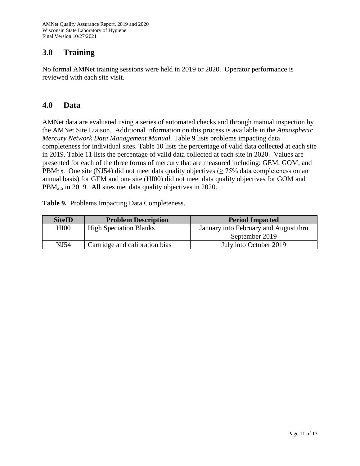## **3.0 Training**

No formal AMNet training sessions were held in 2019 or 2020. Operator performance is reviewed with each site visit.

#### **4.0 Data**

AMNet data are evaluated using a series of automated checks and through manual inspection by the AMNet Site Liaison. Additional information on this process is available in the *Atmospheric Mercury Network Data Management Manual*. Table 9 lists problems impacting data completeness for individual sites. Table 10 lists the percentage of valid data collected at each site in 2019. Table 11 lists the percentage of valid data collected at each site in 2020. Values are presented for each of the three forms of mercury that are measured including: GEM, GOM, and PBM<sub>2.5</sub>. One site (NJ54) did not meet data quality objectives ( $\geq$  75% data completeness on an annual basis) for GEM and one site (HI00) did not meet data quality objectives for GOM and PBM2.5 in 2019. All sites met data quality objectives in 2020.

**Table 9.** Problems Impacting Data Completeness.

| <b>SiteID</b> | <b>Problem Description</b>     | <b>Period Impacted</b>                |
|---------------|--------------------------------|---------------------------------------|
| <b>HI00</b>   | <b>High Speciation Blanks</b>  | January into February and August thru |
|               |                                | September 2019                        |
| NJ54          | Cartridge and calibration bias | July into October 2019                |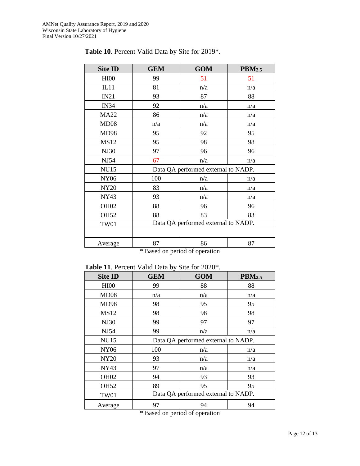| <b>Site ID</b>                 | <b>GEM</b>                          | <b>GOM</b> | <b>PBM2.5</b> |  |  |
|--------------------------------|-------------------------------------|------------|---------------|--|--|
| HIOO                           | 99                                  | 51         | 51            |  |  |
| IL11                           | 81                                  | n/a        | n/a           |  |  |
| IN21                           | 93                                  | 87         | 88            |  |  |
| <b>IN34</b>                    | 92                                  | n/a        | n/a           |  |  |
| <b>MA22</b>                    | 86                                  | n/a        | n/a           |  |  |
| MD08                           | n/a                                 | n/a        | n/a           |  |  |
| <b>MD98</b>                    | 95                                  | 92         | 95            |  |  |
| <b>MS12</b>                    | 95                                  | 98         | 98            |  |  |
| <b>NJ30</b>                    | 97                                  | 96         | 96            |  |  |
| <b>NJ54</b>                    | 67                                  | n/a        | n/a           |  |  |
| <b>NU15</b>                    | Data QA performed external to NADP. |            |               |  |  |
| <b>NY06</b>                    | 100                                 | n/a        | n/a           |  |  |
| <b>NY20</b>                    | 83                                  | n/a        | n/a           |  |  |
| <b>NY43</b>                    | 93                                  | n/a        | n/a           |  |  |
| OH <sub>02</sub>               | 88                                  | 96         | 96            |  |  |
| <b>OH52</b>                    | 88                                  | 83         | 83            |  |  |
| <b>TW01</b>                    | Data QA performed external to NADP. |            |               |  |  |
|                                |                                     |            |               |  |  |
| Average                        | 87                                  | 86         | 87            |  |  |
| * Based on period of operation |                                     |            |               |  |  |

#### **Table 10**. Percent Valid Data by Site for 2019\*.

**Table 11**. Percent Valid Data by Site for 2020\*.

| <b>Site ID</b>   | $\epsilon$ 11. There we have $\epsilon$ and $\epsilon$ and $\epsilon$ and $\epsilon$ 10. $\epsilon$ 0. $\epsilon$<br><b>GEM</b> | <b>GOM</b> | $\text{PBM}_{2.5}$ |
|------------------|---------------------------------------------------------------------------------------------------------------------------------|------------|--------------------|
| HIOO             | 99                                                                                                                              | 88         | 88                 |
| MD08             | n/a                                                                                                                             | n/a        | n/a                |
| <b>MD98</b>      | 98                                                                                                                              | 95         | 95                 |
| <b>MS12</b>      | 98                                                                                                                              | 98         | 98                 |
| <b>NJ30</b>      | 99                                                                                                                              | 97         | 97                 |
| NJ54             | 99                                                                                                                              | n/a        | n/a                |
| <b>NU15</b>      | Data QA performed external to NADP.                                                                                             |            |                    |
| <b>NY06</b>      | 100                                                                                                                             | n/a        | n/a                |
| <b>NY20</b>      | 93                                                                                                                              | n/a        | n/a                |
| <b>NY43</b>      | 97                                                                                                                              | n/a        | n/a                |
| OH <sub>02</sub> | 94                                                                                                                              | 93         | 93                 |
| <b>OH52</b>      | 89                                                                                                                              | 95         | 95                 |
| <b>TW01</b>      | Data QA performed external to NADP.                                                                                             |            |                    |
| Average          | 97                                                                                                                              | 94         | 94                 |

\* Based on period of operation